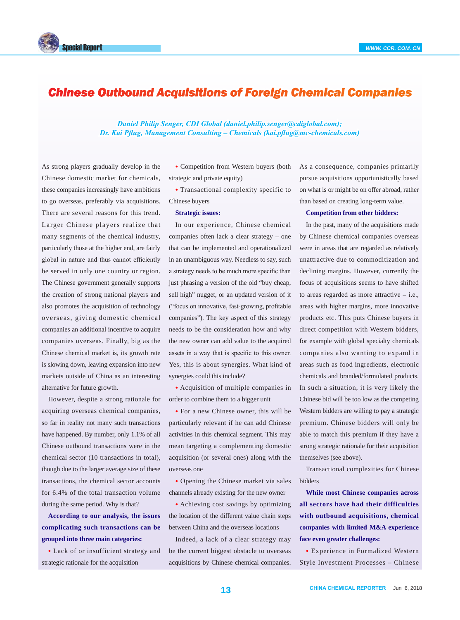



## *Chinese Outbound Acquisitions of Foreign Chemical Companies*

*Daniel Philip Senger, CDI Global (daniel.philip.senger@cdiglobal.com); Dr. Kai Pflug, Management Consulting – Chemicals (kai.pflug@mc-chemicals.com)*

As strong players gradually develop in the Chinese domestic market for chemicals, these companies increasingly have ambitions to go overseas, preferably via acquisitions. There are several reasons for this trend. Larger Chinese players realize that many segments of the chemical industry, particularly those at the higher end, are fairly global in nature and thus cannot efficiently be served in only one country or region. The Chinese government generally supports the creation of strong national players and also promotes the acquisition of technology overseas, giving domestic chemical companies an additional incentive to acquire companies overseas. Finally, big as the Chinese chemical market is, its growth rate is slowing down, leaving expansion into new markets outside of China as an interesting alternative for future growth.

However, despite a strong rationale for acquiring overseas chemical companies, so far in reality not many such transactions have happened. By number, only 1.1% of all Chinese outbound transactions were in the chemical sector (10 transactions in total), though due to the larger average size of these transactions, the chemical sector accounts for 6.4% of the total transaction volume during the same period. Why is that?

**According to our analysis, the issues complicating such transactions can be grouped into three main categories:**

• Lack of or insufficient strategy and strategic rationale for the acquisition

• Competition from Western buyers (both strategic and private equity)

• Transactional complexity specific to Chinese buyers

## **Strategic issues:**

In our experience, Chinese chemical companies often lack a clear strategy – one that can be implemented and operationalized in an unambiguous way. Needless to say, such a strategy needs to be much more specific than just phrasing a version of the old "buy cheap, sell high" nugget, or an updated version of it ("focus on innovative, fast-growing, profitable companies"). The key aspect of this strategy needs to be the consideration how and why the new owner can add value to the acquired assets in a way that is specific to this owner. Yes, this is about synergies. What kind of synergies could this include?

• Acquisition of multiple companies in order to combine them to a bigger unit

• For a new Chinese owner, this will be particularly relevant if he can add Chinese activities in this chemical segment. This may mean targeting a complementing domestic acquisition (or several ones) along with the overseas one

• Opening the Chinese market via sales channels already existing for the new owner

• Achieving cost savings by optimizing the location of the different value chain steps between China and the overseas locations

Indeed, a lack of a clear strategy may be the current biggest obstacle to overseas acquisitions by Chinese chemical companies. As a consequence, companies primarily pursue acquisitions opportunistically based on what is or might be on offer abroad, rather than based on creating long-term value.

## **Competition from other bidders:**

In the past, many of the acquisitions made by Chinese chemical companies overseas were in areas that are regarded as relatively unattractive due to commoditization and declining margins. However, currently the focus of acquisitions seems to have shifted to areas regarded as more attractive – i.e., areas with higher margins, more innovative products etc. This puts Chinese buyers in direct competition with Western bidders, for example with global specialty chemicals companies also wanting to expand in areas such as food ingredients, electronic chemicals and branded/formulated products. In such a situation, it is very likely the Chinese bid will be too low as the competing Western bidders are willing to pay a strategic premium. Chinese bidders will only be able to match this premium if they have a strong strategic rationale for their acquisition themselves (see above).

Transactional complexities for Chinese bidders

**While most Chinese companies across all sectors have had their difficulties with outbound acquisitions, chemical companies with limited M&A experience face even greater challenges:**

• Experience in Formalized Western Style Investment Processes – Chinese